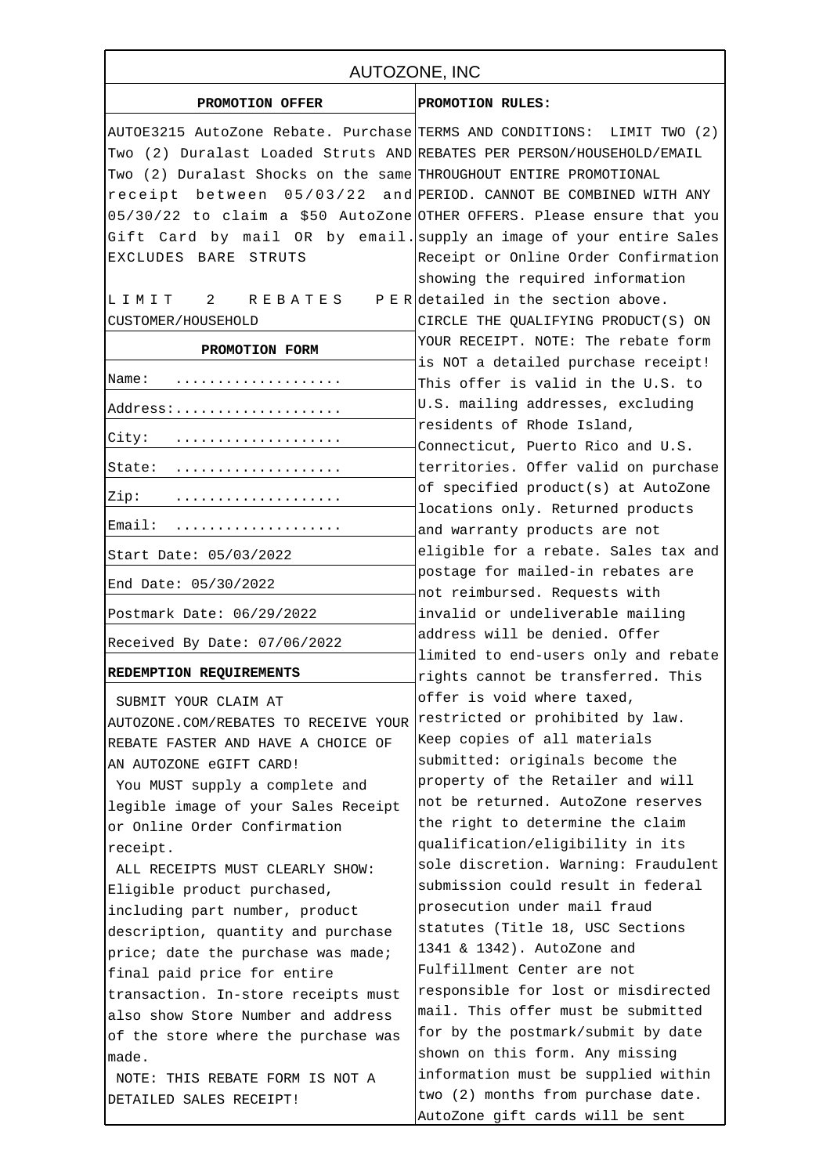| AUTOZONE, INC                                                           |                                                                       |
|-------------------------------------------------------------------------|-----------------------------------------------------------------------|
| PROMOTION OFFER                                                         | PROMOTION RULES:                                                      |
| AUTOE3215 AutoZone Rebate. Purchase TERMS AND CONDITIONS: LIMIT TWO (2) |                                                                       |
| Two (2) Duralast Loaded Struts AND REBATES PER PERSON/HOUSEHOLD/EMAIL   |                                                                       |
| Two (2) Duralast Shocks on the same THROUGHOUT ENTIRE PROMOTIONAL       |                                                                       |
| receipt between $05/03/22$ and PERIOD. CANNOT BE COMBINED WITH ANY      |                                                                       |
| 05/30/22 to claim a \$50 AutoZone OTHER OFFERS. Please ensure that you  |                                                                       |
| Gift Card by mail OR by email. supply an image of your entire Sales     |                                                                       |
| EXCLUDES BARE STRUTS                                                    | Receipt or Online Order Confirmation                                  |
|                                                                         | showing the required information                                      |
| LIMIT 2 REBATES                                                         | P E Redetailed in the section above.                                  |
| CUSTOMER/HOUSEHOLD                                                      | CIRCLE THE QUALIFYING PRODUCT(S) ON                                   |
|                                                                         | YOUR RECEIPT. NOTE: The rebate form                                   |
| PROMOTION FORM                                                          | is NOT a detailed purchase receipt!                                   |
| Name:<br>.                                                              | This offer is valid in the U.S. to                                    |
|                                                                         | U.S. mailing addresses, excluding                                     |
| Address:                                                                | residents of Rhode Island,                                            |
| City:                                                                   | Connecticut, Puerto Rico and U.S.                                     |
| State:                                                                  | territories. Offer valid on purchase                                  |
|                                                                         | of specified product(s) at AutoZone                                   |
| Zip:                                                                    | locations only. Returned products                                     |
| Email:                                                                  | and warranty products are not                                         |
| Start Date: 05/03/2022                                                  | eligible for a rebate. Sales tax and                                  |
| End Date: 05/30/2022                                                    | postage for mailed-in rebates are                                     |
|                                                                         | not reimbursed. Requests with                                         |
| Postmark Date: 06/29/2022                                               | invalid or undeliverable mailing                                      |
| Received By Date: 07/06/2022                                            | address will be denied. Offer<br>limited to end-users only and rebate |
| REDEMPTION REQUIREMENTS                                                 | rights cannot be transferred. This                                    |
| SUBMIT YOUR CLAIM AT                                                    | offer is void where taxed,                                            |
| AUTOZONE.COM/REBATES TO RECEIVE YOUR                                    | restricted or prohibited by law.                                      |
| REBATE FASTER AND HAVE A CHOICE OF                                      | Keep copies of all materials                                          |
| AN AUTOZONE eGIFT CARD!                                                 | submitted: originals become the                                       |
| You MUST supply a complete and                                          | property of the Retailer and will                                     |
| legible image of your Sales Receipt                                     | not be returned. AutoZone reserves                                    |
| or Online Order Confirmation                                            | the right to determine the claim                                      |
| receipt.                                                                | qualification/eligibility in its                                      |
| ALL RECEIPTS MUST CLEARLY SHOW:                                         | sole discretion. Warning: Fraudulent                                  |
| Eligible product purchased,                                             | submission could result in federal                                    |
| including part number, product                                          | prosecution under mail fraud                                          |
| description, quantity and purchase                                      | statutes (Title 18, USC Sections                                      |
| price; date the purchase was made;                                      | 1341 & 1342). AutoZone and                                            |
| final paid price for entire                                             | Fulfillment Center are not                                            |
| transaction. In-store receipts must                                     | responsible for lost or misdirected                                   |
| also show Store Number and address                                      | mail. This offer must be submitted                                    |
| of the store where the purchase was                                     | for by the postmark/submit by date                                    |
| made.                                                                   | shown on this form. Any missing                                       |
| NOTE: THIS REBATE FORM IS NOT A                                         | information must be supplied within                                   |
| DETAILED SALES RECEIPT!                                                 | two (2) months from purchase date.                                    |
|                                                                         | AutoZone gift cards will be sent                                      |